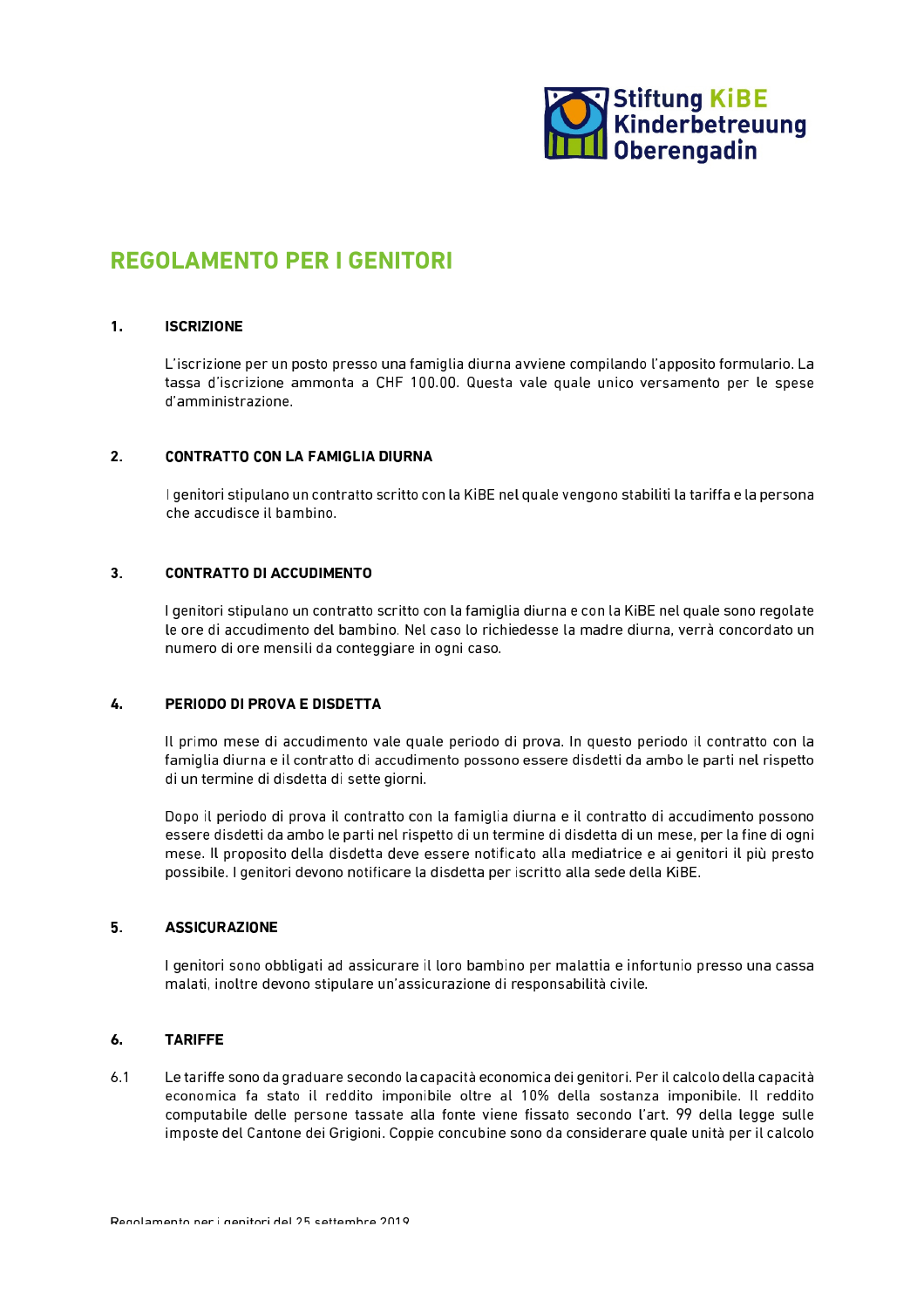

# **REGOLAMENTO PER I GENITORI**

#### $\mathbf{1}$ . **ISCRIZIONE**

L'iscrizione per un posto presso una famiglia diurna avviene compilando l'apposito formulario. La tassa d'iscrizione ammonta a CHF 100.00. Questa vale quale unico versamento per le spese d'amministrazione.

## $2.$ **CONTRATTO CON LA FAMIGLIA DIURNA**

I genitori stipulano un contratto scritto con la KiBE nel quale vengono stabiliti la tariffa e la persona che accudisce il bambino.

## $3<sub>1</sub>$ **CONTRATTO DI ACCUDIMENTO**

I genitori stipulano un contratto scritto con la famiglia diurna e con la KiBE nel quale sono regolate le ore di accudimento del bambino. Nel caso lo richiedesse la madre diurna, verrà concordato un numero di ore mensili da conteggiare in ogni caso.

## $\mathbf{4}$ PERIODO DI PROVA E DISDETTA

Il primo mese di accudimento vale quale periodo di prova. In questo periodo il contratto con la famiglia diurna e il contratto di accudimento possono essere disdetti da ambo le parti nel rispetto di un termine di disdetta di sette giorni.

Dopo il periodo di prova il contratto con la famiglia diurna e il contratto di accudimento possono essere disdetti da ambo le parti nel rispetto di un termine di disdetta di un mese, per la fine di ogni mese. Il proposito della disdetta deve essere notificato alla mediatrice e ai genitori il più presto possibile. I genitori devono notificare la disdetta per iscritto alla sede della KiBE.

#### $5.$ **ASSICURAZIONE**

I genitori sono obbligati ad assicurare il loro bambino per malattia e infortunio presso una cassa malati, inoltre devono stipulare un'assicurazione di responsabilità civile.

#### $6.$ **TARIFFE**

 $6.1$ Le tariffe sono da graduare secondo la capacità economica dei genitori. Per il calcolo della capacità economica fa stato il reddito imponibile oltre al 10% della sostanza imponibile. Il reddito computabile delle persone tassate alla fonte viene fissato secondo l'art. 99 della legge sulle imposte del Cantone dei Grigioni. Coppie concubine sono da considerare quale unità per il calcolo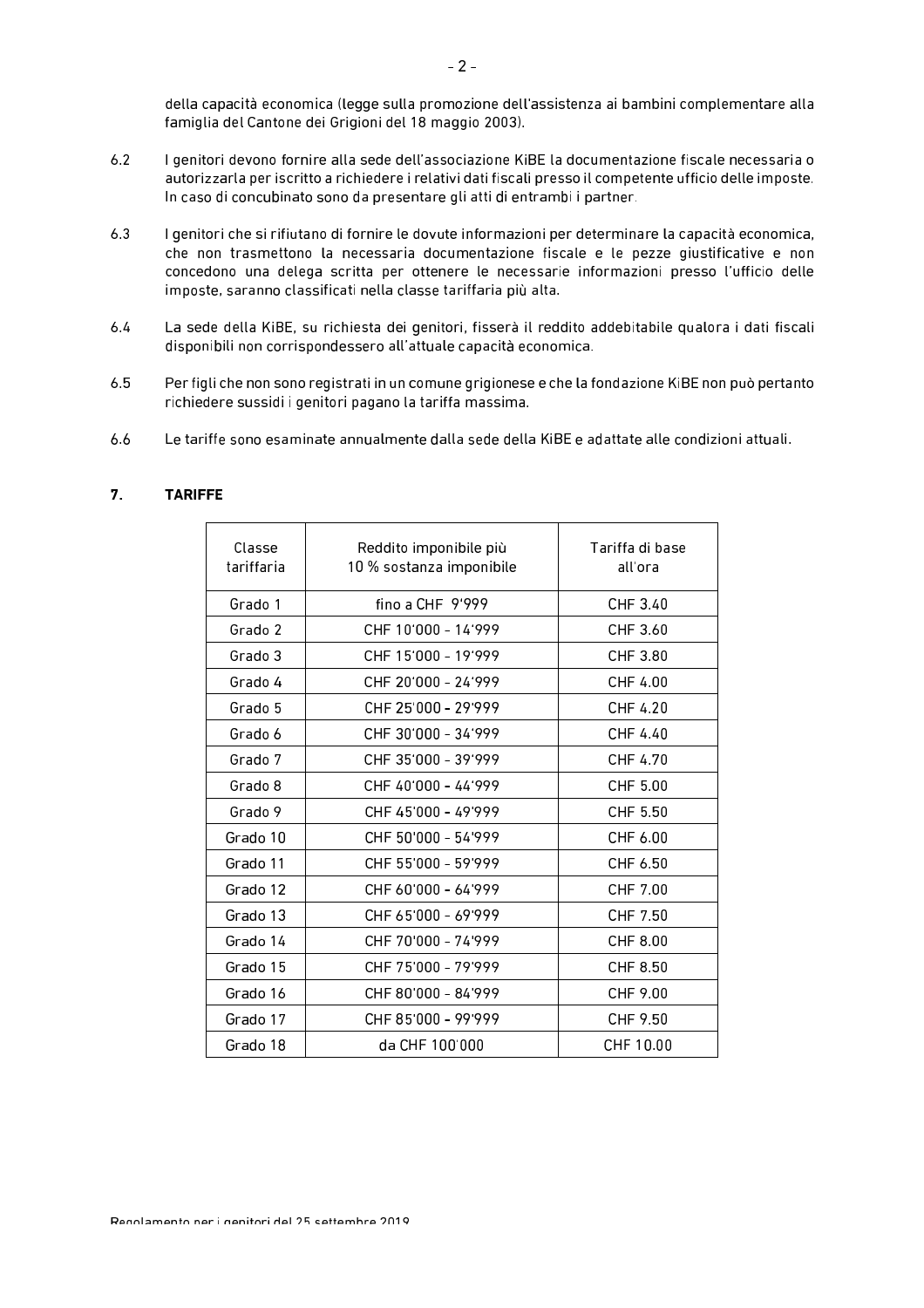della capacità economica (legge sulla promozione dell'assistenza ai bambini complementare alla famiglia del Cantone dei Grigioni del 18 maggio 2003).

- $6.2$ I genitori devono fornire alla sede dell'associazione KiBE la documentazione fiscale necessaria o autorizzarla per iscritto a richiedere i relativi dati fiscali presso il competente ufficio delle imposte. In caso di concubinato sono da presentare gli atti di entrambi i partner.
- $6.3$ I genitori che si rifiutano di fornire le dovute informazioni per determinare la capacità economica. che non trasmettono la necessaria documentazione fiscale e le pezze giustificative e non concedono una delega scritta per ottenere le necessarie informazioni presso l'ufficio delle imposte, saranno classificati nella classe tariffaria più alta.
- La sede della KiBE, su richiesta dei genitori, fisserà il reddito addebitabile qualora i dati fiscali  $6.4$ disponibili non corrispondessero all'attuale capacità economica.
- $6.5$ Per figli che non sono registrati in un comune grigionese e che la fondazione KiBE non può pertanto richiedere sussidi i genitori pagano la tariffa massima.
- Le tariffe sono esaminate annualmente dalla sede della KiBE e adattate alle condizioni attuali. 6.6

| <b>TARIFFE</b> |
|----------------|
|                |

| Classe<br>tariffaria | Reddito imponibile più<br>Tariffa di base<br>10 % sostanza imponibile<br>all'ora |           |  |
|----------------------|----------------------------------------------------------------------------------|-----------|--|
| Grado 1              | fino a CHF $9'999$                                                               | CHF 3.40  |  |
| Grado 2              | CHF 10'000 - 14'999                                                              | CHF 3.60  |  |
| Grado 3              | CHF 15'000 - 19'999                                                              | CHF 3.80  |  |
| Grado 4              | CHE 20'000 - 24'999                                                              | CHF 4.00  |  |
| Grado 5              | CHF 25'000 - 29'999                                                              | CHF 4.20  |  |
| Grado 6              | CHF 30'000 - 34'999                                                              | CHF 4.40  |  |
| Grado 7              | CHF 35'000 - 39'999                                                              | CHF 4.70  |  |
| Grado 8              | CHF 40'000 - 44'999                                                              | CHF 5.00  |  |
| Grado 9              | CHE 45'000 - 49'999                                                              | CHF 5.50  |  |
| Grado 10             | CHF 50'000 - 54'999                                                              | CHF 6.00  |  |
| Grado 11             | CHF 55'000 - 59'999                                                              | CHF 6.50  |  |
| Grado 12             | CHE 60'000 - 64'999                                                              | CHF 7.00  |  |
| Grado 13             | CHF 65'000 - 69'999                                                              | CHF 7.50  |  |
| Grado 14             | CHF 70'000 - 74'999                                                              | CHF 8.00  |  |
| Grado 15             | CHF 75'000 - 79'999                                                              | CHF 8.50  |  |
| Grado 16             | CHF 80'000 - 84'999                                                              | CHF 9.00  |  |
| Grado 17             | CHF 85'000 - 99'999                                                              | CHF 9.50  |  |
| Grado 18             | da CHF 100'000                                                                   | CHF 10.00 |  |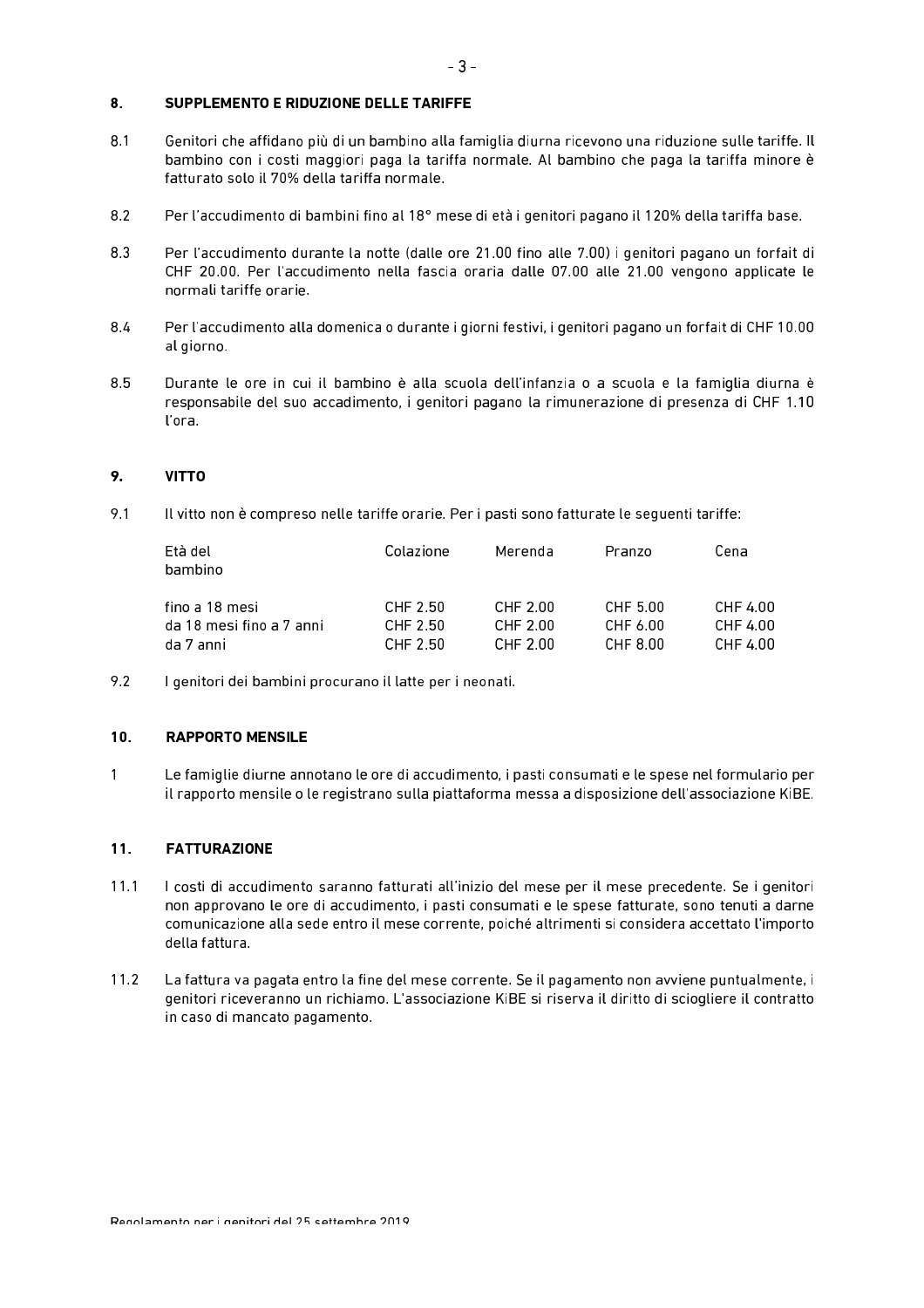## $8<sub>1</sub>$ SUPPLEMENTO E RIDUZIONE DELLE TARIFFE

- $8.1$ Genitori che affidano più di un bambino alla famiglia diurna ricevono una riduzione sulle tariffe. Il bambino con i costi maggiori paga la tariffa normale. Al bambino che paga la tariffa minore è fatturato solo il 70% della tariffa normale.
- 8.2 Per l'accudimento di bambini fino al 18° mese di età i genitori pagano il 120% della tariffa base.
- 8.3 Per l'accudimento durante la notte (dalle ore 21.00 fino alle 7.00) i genitori pagano un forfait di CHF 20.00. Per l'accudimento nella fascia oraria dalle 07.00 alle 21.00 vengono applicate le normali tariffe orarie
- $8.4$ Per l'accudimento alla domenica o durante i giorni festivi, i genitori pagano un forfait di CHF 10.00 al giorno.
- 8.5 Durante le ore in cui il bambino è alla scuola dell'infanzia o a scuola e la famiglia diurna è responsabile del suo accadimento, i genitori pagano la rimunerazione di presenza di CHF 1.10 l'ora

## 9. **VITTO**

9.1 Il vitto non è compreso nelle tariffe orarie. Per i pasti sono fatturate le sequenti tariffe:

| Età del<br>bambino       | Colazione | Merenda  | Pranzo   | Cena     |
|--------------------------|-----------|----------|----------|----------|
| fino a 18 mesi           | CHF 2.50  | CHF 2.00 | CHF 5.00 | CHF 4.00 |
| da 18 mesi fino a 7 anni | CHF 2.50  | CHF 2.00 | CHF 6.00 | CHF 4.00 |
| da 7 anni                | CHF 2.50  | CHF 2.00 | CHF 8.00 | CHF 4.00 |

9.2 I genitori dei bambini procurano il latte per i neonati.

#### $10.$ **RAPPORTO MENSILE**

 $\overline{1}$ Le famiglie diurne annotano le ore di accudimento, i pasti consumati e le spese nel formulario per il rapporto mensile o le registrano sulla piattaforma messa a disposizione dell'associazione KiBE.

## $11.$ **FATTURAZIONE**

- $11.1$ I costi di accudimento saranno fatturati all'inizio del mese per il mese precedente. Se i genitori non approvano le ore di accudimento, i pasti consumati e le spese fatturate, sono tenuti a darne comunicazione alla sede entro il mese corrente, poiché altrimenti si considera accettato l'importo della fattura.
- $11.2$ La fattura va pagata entro la fine del mese corrente. Se il pagamento non avviene puntualmente, i genitori riceveranno un richiamo. L'associazione KiBE si riserva il diritto di sciogliere il contratto in caso di mancato pagamento.